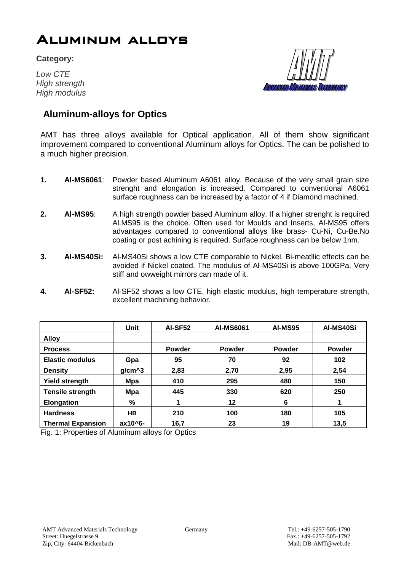## Aluminum alloys

**Category:**

*Low CTE High strength* **High modulus** 

edd*illathaas Technology* 

## **Aluminum-alloys for Optics**

AMT has three alloys available for Optical application. All of them show significant improvement compared to conventional Aluminum alloys for Optics. The can be polished to a much higher precision.

- **1. Al-MS6061**: Powder based Aluminum A6061 alloy. Because of the very small grain size strenght and elongation is increased. Compared to conventional A6061 surface roughness can be increased by a factor of 4 if Diamond machined.
- **2. Al-MS95**: A high strength powder based Aluminum alloy. If a higher strenght is required Al.MS95 is the choice. Often used for Moulds and Inserts, Al-MS95 offers advantages compared to conventional alloys like brass- Cu-Ni, Cu-Be.No coating or post achining is required. Surface roughness can be below 1nm.
- **3. Al-MS40Si:** Al-MS40Si shows a low CTE comparable to Nickel. Bi-meatllic effects can be avoided if Nickel coated. The modulus of Al-MS40Si is above 100GPa. Very stiff and owweight mirrors can made of it.
- **4. Al-SF52:** Al-SF52 shows a low CTE, high elastic modulus, high temperature strength, excellent machining behavior.

|                          | <b>Unit</b> | <b>AI-SF52</b> | <b>AI-MS6061</b> | <b>AI-MS95</b> | AI-MS40Si     |
|--------------------------|-------------|----------------|------------------|----------------|---------------|
| <b>Alloy</b>             |             |                |                  |                |               |
| <b>Process</b>           |             | <b>Powder</b>  | <b>Powder</b>    | <b>Powder</b>  | <b>Powder</b> |
| <b>Elastic modulus</b>   | Gpa         | 95             | 70               | 92             | 102           |
| <b>Density</b>           | $g/cm^3$    | 2,83           | 2,70             | 2,95           | 2,54          |
| <b>Yield strength</b>    | Mpa         | 410            | 295              | 480            | 150           |
| <b>Tensile strength</b>  | Mpa         | 445            | 330              | 620            | 250           |
| <b>Elongation</b>        | %           |                | 12               | 6              |               |
| <b>Hardness</b>          | HВ          | 210            | 100              | 180            | 105           |
| <b>Thermal Expansion</b> | ax10^6-     | 16,7           | 23               | 19             | 13,5          |

Fig. 1: Properties of Aluminum alloys for Optics